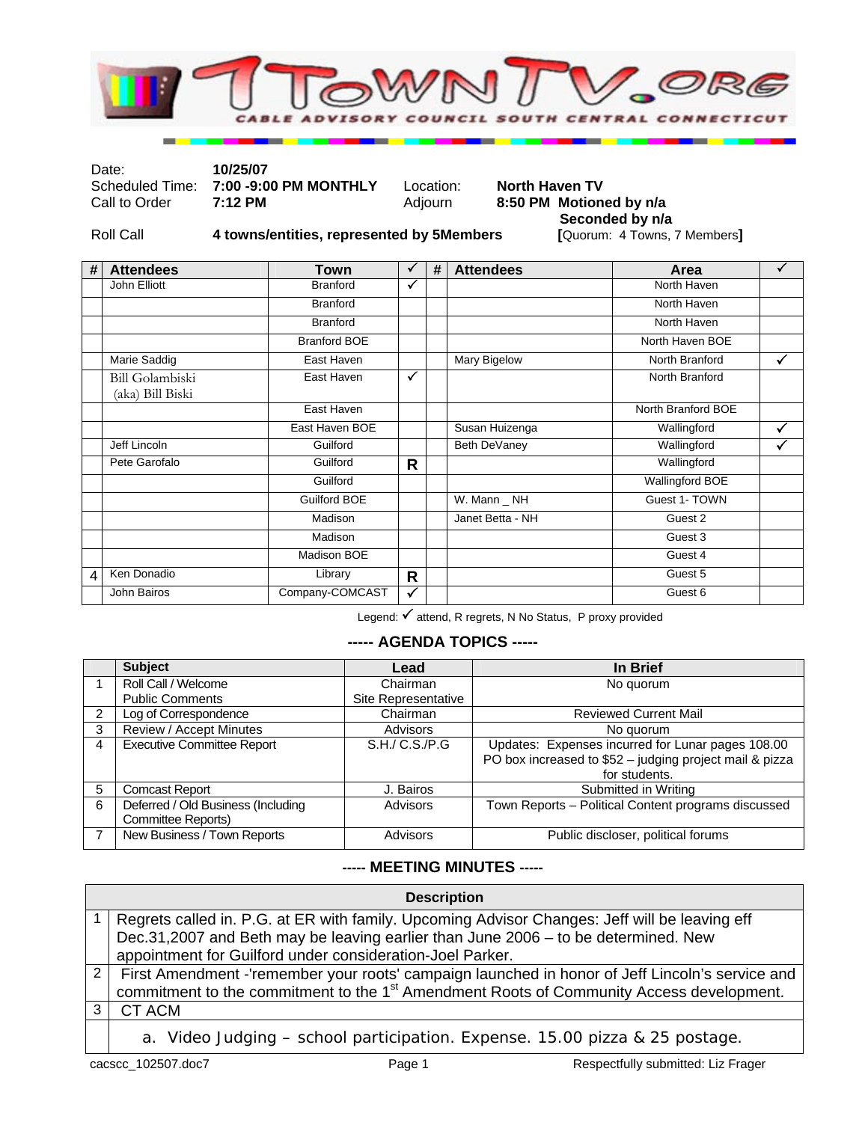

Date: **10/25/07** 

Scheduled Time: **7:00 -9:00 PM MONTHLY** Location: **North Haven TV**<br>Call to Order **7:12 PM MONTHLY** Adjourn **8:50 PM Motion** 

## 8:50 PM Motioned by n/a

Roll Call **4 towns/entities, represented by 5Members** 

**Seconded by n/a**<br>[Quorum: 4 Towns, 7 Members]

| # | <b>Attendees</b>                    | Town                | ✓            | # | <b>Attendees</b> | Area                   | ✓            |
|---|-------------------------------------|---------------------|--------------|---|------------------|------------------------|--------------|
|   | John Elliott                        | <b>Branford</b>     | $\checkmark$ |   |                  | North Haven            |              |
|   |                                     | <b>Branford</b>     |              |   |                  | North Haven            |              |
|   |                                     | <b>Branford</b>     |              |   |                  | North Haven            |              |
|   |                                     | <b>Branford BOE</b> |              |   |                  | North Haven BOE        |              |
|   | Marie Saddig                        | East Haven          |              |   | Mary Bigelow     | North Branford         | $\checkmark$ |
|   | Bill Golambiski<br>(aka) Bill Biski | East Haven          | $\checkmark$ |   |                  | North Branford         |              |
|   |                                     | East Haven          |              |   |                  | North Branford BOE     |              |
|   |                                     | East Haven BOE      |              |   | Susan Huizenga   | Wallingford            | ✓            |
|   | Jeff Lincoln                        | Guilford            |              |   | Beth DeVaney     | Wallingford            | ✓            |
|   | Pete Garofalo                       | Guilford            | $\mathsf{R}$ |   |                  | Wallingford            |              |
|   |                                     | Guilford            |              |   |                  | <b>Wallingford BOE</b> |              |
|   |                                     | <b>Guilford BOE</b> |              |   | W. Mann _ NH     | Guest 1- TOWN          |              |
|   |                                     | Madison             |              |   | Janet Betta - NH | Guest 2                |              |
|   |                                     | Madison             |              |   |                  | Guest 3                |              |
|   |                                     | Madison BOE         |              |   |                  | Guest 4                |              |
| 4 | Ken Donadio                         | Library             | $\mathsf{R}$ |   |                  | Guest 5                |              |
|   | John Bairos                         | Company-COMCAST     | $\checkmark$ |   |                  | Guest 6                |              |

Legend:  $\checkmark$  attend, R regrets, N No Status, P proxy provided

## **----- AGENDA TOPICS -----**

|   | <b>Subject</b>                                           | Lead                | In Brief                                                                                                                      |
|---|----------------------------------------------------------|---------------------|-------------------------------------------------------------------------------------------------------------------------------|
|   | Roll Call / Welcome                                      | Chairman            | No quorum                                                                                                                     |
|   | <b>Public Comments</b>                                   | Site Representative |                                                                                                                               |
|   | Log of Correspondence                                    | Chairman            | <b>Reviewed Current Mail</b>                                                                                                  |
| 3 | Review / Accept Minutes                                  | Advisors            | No quorum                                                                                                                     |
| 4 | <b>Executive Committee Report</b>                        | S.H./ C.S./P.G      | Updates: Expenses incurred for Lunar pages 108.00<br>PO box increased to \$52 - judging project mail & pizza<br>for students. |
| 5 | <b>Comcast Report</b>                                    | J. Bairos           | Submitted in Writing                                                                                                          |
| 6 | Deferred / Old Business (Including<br>Committee Reports) | Advisors            | Town Reports - Political Content programs discussed                                                                           |
|   | New Business / Town Reports                              | <b>Advisors</b>     | Public discloser, political forums                                                                                            |

## **----- MEETING MINUTES -----**

| <b>Description</b> |                                                                                                                                                                                                                                                                      |  |  |  |
|--------------------|----------------------------------------------------------------------------------------------------------------------------------------------------------------------------------------------------------------------------------------------------------------------|--|--|--|
|                    | Regrets called in. P.G. at ER with family. Upcoming Advisor Changes: Jeff will be leaving eff<br>Dec.31,2007 and Beth may be leaving earlier than June 2006 - to be determined. New                                                                                  |  |  |  |
|                    | appointment for Guilford under consideration-Joel Parker.<br>First Amendment -'remember your roots' campaign launched in honor of Jeff Lincoln's service and<br>commitment to the commitment to the 1 <sup>st</sup> Amendment Roots of Community Access development. |  |  |  |
|                    | CT ACM                                                                                                                                                                                                                                                               |  |  |  |
|                    | a. Video Judging - school participation. Expense. 15.00 pizza & 25 postage.                                                                                                                                                                                          |  |  |  |